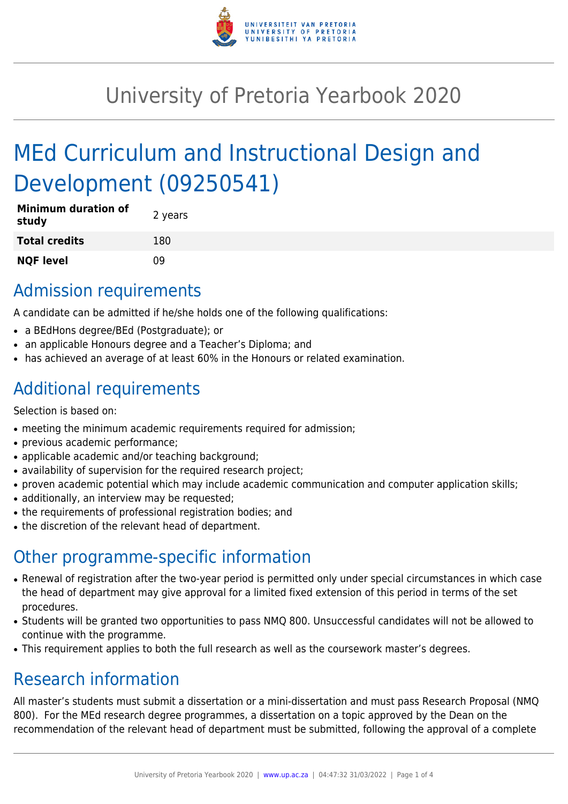

# University of Pretoria Yearbook 2020

# MEd Curriculum and Instructional Design and Development (09250541)

| <b>Minimum duration of</b><br>study | 2 years |
|-------------------------------------|---------|
| <b>Total credits</b>                | 180     |
| <b>NQF level</b>                    | n۹      |

### Admission requirements

A candidate can be admitted if he/she holds one of the following qualifications:

- a BEdHons degree/BEd (Postgraduate); or
- an applicable Honours degree and a Teacher's Diploma; and
- has achieved an average of at least 60% in the Honours or related examination.

### Additional requirements

Selection is based on:

- meeting the minimum academic requirements required for admission;
- previous academic performance;
- applicable academic and/or teaching background;
- availability of supervision for the required research project;
- proven academic potential which may include academic communication and computer application skills;
- additionally, an interview may be requested;
- the requirements of professional registration bodies; and
- the discretion of the relevant head of department.

## Other programme-specific information

- Renewal of registration after the two-year period is permitted only under special circumstances in which case the head of department may give approval for a limited fixed extension of this period in terms of the set procedures.
- Students will be granted two opportunities to pass NMQ 800. Unsuccessful candidates will not be allowed to continue with the programme.
- This requirement applies to both the full research as well as the coursework master's degrees.

## Research information

All master's students must submit a dissertation or a mini-dissertation and must pass Research Proposal (NMQ 800). For the MEd research degree programmes, a dissertation on a topic approved by the Dean on the recommendation of the relevant head of department must be submitted, following the approval of a complete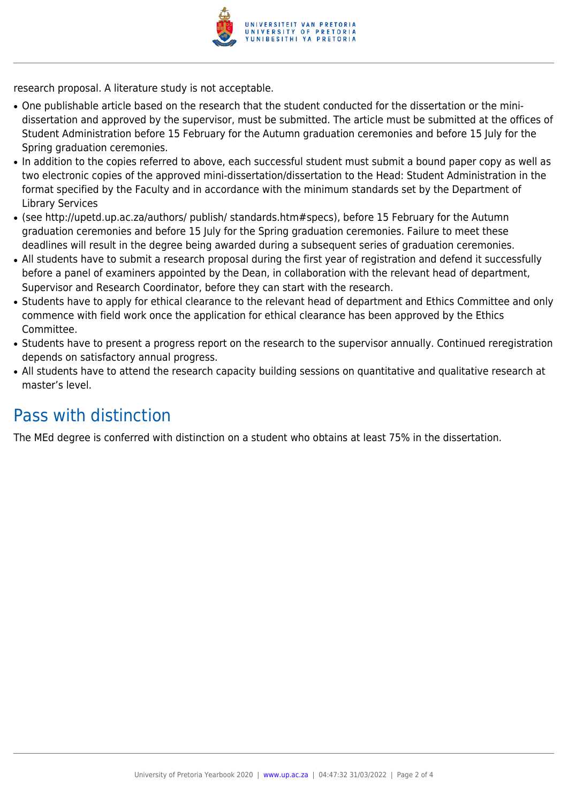

research proposal. A literature study is not acceptable.

- One publishable article based on the research that the student conducted for the dissertation or the minidissertation and approved by the supervisor, must be submitted. The article must be submitted at the offices of Student Administration before 15 February for the Autumn graduation ceremonies and before 15 July for the Spring graduation ceremonies.
- In addition to the copies referred to above, each successful student must submit a bound paper copy as well as two electronic copies of the approved mini-dissertation/dissertation to the Head: Student Administration in the format specified by the Faculty and in accordance with the minimum standards set by the Department of Library Services
- (see http://upetd.up.ac.za/authors/ publish/ standards.htm#specs), before 15 February for the Autumn graduation ceremonies and before 15 July for the Spring graduation ceremonies. Failure to meet these deadlines will result in the degree being awarded during a subsequent series of graduation ceremonies.
- All students have to submit a research proposal during the first year of registration and defend it successfully before a panel of examiners appointed by the Dean, in collaboration with the relevant head of department, Supervisor and Research Coordinator, before they can start with the research.
- Students have to apply for ethical clearance to the relevant head of department and Ethics Committee and only commence with field work once the application for ethical clearance has been approved by the Ethics Committee.
- Students have to present a progress report on the research to the supervisor annually. Continued reregistration depends on satisfactory annual progress.
- All students have to attend the research capacity building sessions on quantitative and qualitative research at master's level.

### Pass with distinction

The MEd degree is conferred with distinction on a student who obtains at least 75% in the dissertation.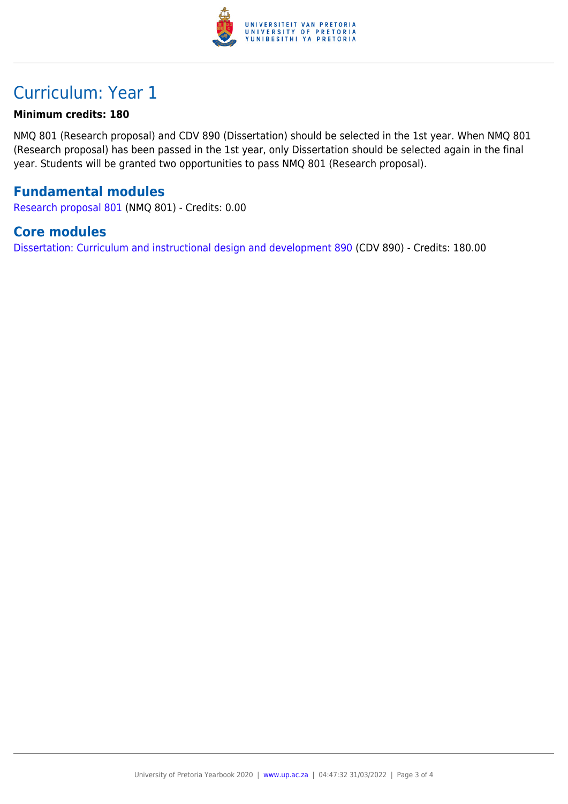

### Curriculum: Year 1

#### **Minimum credits: 180**

NMQ 801 (Research proposal) and CDV 890 (Dissertation) should be selected in the 1st year. When NMQ 801 (Research proposal) has been passed in the 1st year, only Dissertation should be selected again in the final year. Students will be granted two opportunities to pass NMQ 801 (Research proposal).

#### **Fundamental modules**

[Research proposal 801](https://www.up.ac.za/mechanical-and-aeronautical-engineering/yearbooks/2020/modules/view/NMQ 801) (NMQ 801) - Credits: 0.00

#### **Core modules**

[Dissertation: Curriculum and instructional design and development 890](https://www.up.ac.za/mechanical-and-aeronautical-engineering/yearbooks/2020/modules/view/CDV 890) (CDV 890) - Credits: 180.00